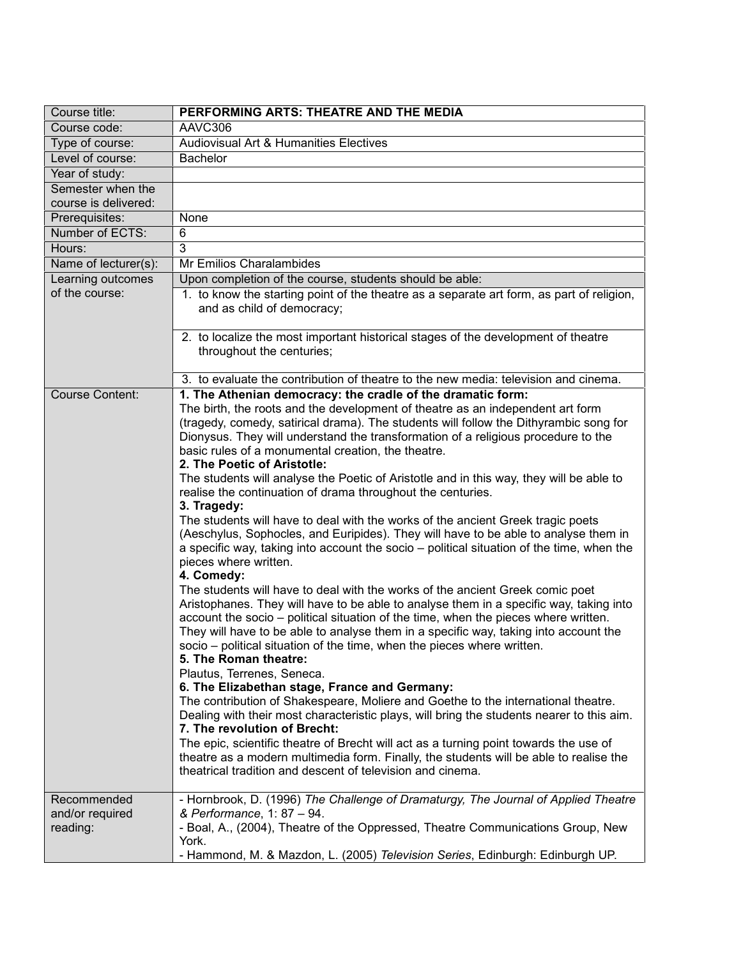| Course title:                              | PERFORMING ARTS: THEATRE AND THE MEDIA                                                                                                                                                                                                                                                                                                                                                                                                                                                                                                                                                                                                                                                                                                                                                                                                                                                                                                                                                                                                                                                                                                                                    |
|--------------------------------------------|---------------------------------------------------------------------------------------------------------------------------------------------------------------------------------------------------------------------------------------------------------------------------------------------------------------------------------------------------------------------------------------------------------------------------------------------------------------------------------------------------------------------------------------------------------------------------------------------------------------------------------------------------------------------------------------------------------------------------------------------------------------------------------------------------------------------------------------------------------------------------------------------------------------------------------------------------------------------------------------------------------------------------------------------------------------------------------------------------------------------------------------------------------------------------|
| Course code:                               | AAVC306                                                                                                                                                                                                                                                                                                                                                                                                                                                                                                                                                                                                                                                                                                                                                                                                                                                                                                                                                                                                                                                                                                                                                                   |
| Type of course:                            | Audiovisual Art & Humanities Electives                                                                                                                                                                                                                                                                                                                                                                                                                                                                                                                                                                                                                                                                                                                                                                                                                                                                                                                                                                                                                                                                                                                                    |
| Level of course:                           | <b>Bachelor</b>                                                                                                                                                                                                                                                                                                                                                                                                                                                                                                                                                                                                                                                                                                                                                                                                                                                                                                                                                                                                                                                                                                                                                           |
| Year of study:                             |                                                                                                                                                                                                                                                                                                                                                                                                                                                                                                                                                                                                                                                                                                                                                                                                                                                                                                                                                                                                                                                                                                                                                                           |
| Semester when the<br>course is delivered:  |                                                                                                                                                                                                                                                                                                                                                                                                                                                                                                                                                                                                                                                                                                                                                                                                                                                                                                                                                                                                                                                                                                                                                                           |
| Prerequisites:                             | None                                                                                                                                                                                                                                                                                                                                                                                                                                                                                                                                                                                                                                                                                                                                                                                                                                                                                                                                                                                                                                                                                                                                                                      |
| Number of ECTS:                            | 6                                                                                                                                                                                                                                                                                                                                                                                                                                                                                                                                                                                                                                                                                                                                                                                                                                                                                                                                                                                                                                                                                                                                                                         |
| Hours:                                     | 3                                                                                                                                                                                                                                                                                                                                                                                                                                                                                                                                                                                                                                                                                                                                                                                                                                                                                                                                                                                                                                                                                                                                                                         |
| Name of lecturer(s):                       | Mr Emilios Charalambides                                                                                                                                                                                                                                                                                                                                                                                                                                                                                                                                                                                                                                                                                                                                                                                                                                                                                                                                                                                                                                                                                                                                                  |
| Learning outcomes                          | Upon completion of the course, students should be able:                                                                                                                                                                                                                                                                                                                                                                                                                                                                                                                                                                                                                                                                                                                                                                                                                                                                                                                                                                                                                                                                                                                   |
| of the course:                             | 1. to know the starting point of the theatre as a separate art form, as part of religion,<br>and as child of democracy;                                                                                                                                                                                                                                                                                                                                                                                                                                                                                                                                                                                                                                                                                                                                                                                                                                                                                                                                                                                                                                                   |
|                                            | 2. to localize the most important historical stages of the development of theatre<br>throughout the centuries;                                                                                                                                                                                                                                                                                                                                                                                                                                                                                                                                                                                                                                                                                                                                                                                                                                                                                                                                                                                                                                                            |
|                                            | 3. to evaluate the contribution of theatre to the new media: television and cinema.                                                                                                                                                                                                                                                                                                                                                                                                                                                                                                                                                                                                                                                                                                                                                                                                                                                                                                                                                                                                                                                                                       |
| <b>Course Content:</b>                     | 1. The Athenian democracy: the cradle of the dramatic form:<br>The birth, the roots and the development of theatre as an independent art form<br>(tragedy, comedy, satirical drama). The students will follow the Dithyrambic song for<br>Dionysus. They will understand the transformation of a religious procedure to the<br>basic rules of a monumental creation, the theatre.<br>2. The Poetic of Aristotle:<br>The students will analyse the Poetic of Aristotle and in this way, they will be able to<br>realise the continuation of drama throughout the centuries.<br>3. Tragedy:<br>The students will have to deal with the works of the ancient Greek tragic poets<br>(Aeschylus, Sophocles, and Euripides). They will have to be able to analyse them in<br>a specific way, taking into account the socio – political situation of the time, when the<br>pieces where written.<br>4. Comedy:<br>The students will have to deal with the works of the ancient Greek comic poet<br>Aristophanes. They will have to be able to analyse them in a specific way, taking into<br>account the socio – political situation of the time, when the pieces where written. |
|                                            | They will have to be able to analyse them in a specific way, taking into account the<br>socio – political situation of the time, when the pieces where written.<br>5. The Roman theatre:<br>Plautus, Terrenes, Seneca.<br>6. The Elizabethan stage, France and Germany:<br>The contribution of Shakespeare, Moliere and Goethe to the international theatre.<br>Dealing with their most characteristic plays, will bring the students nearer to this aim.                                                                                                                                                                                                                                                                                                                                                                                                                                                                                                                                                                                                                                                                                                                 |
|                                            | 7. The revolution of Brecht:<br>The epic, scientific theatre of Brecht will act as a turning point towards the use of<br>theatre as a modern multimedia form. Finally, the students will be able to realise the<br>theatrical tradition and descent of television and cinema.                                                                                                                                                                                                                                                                                                                                                                                                                                                                                                                                                                                                                                                                                                                                                                                                                                                                                             |
| Recommended<br>and/or required<br>reading: | - Hornbrook, D. (1996) The Challenge of Dramaturgy, The Journal of Applied Theatre<br>& Performance, 1: 87 - 94.<br>- Boal, A., (2004), Theatre of the Oppressed, Theatre Communications Group, New<br>York.<br>- Hammond, M. & Mazdon, L. (2005) Television Series, Edinburgh: Edinburgh UP.                                                                                                                                                                                                                                                                                                                                                                                                                                                                                                                                                                                                                                                                                                                                                                                                                                                                             |